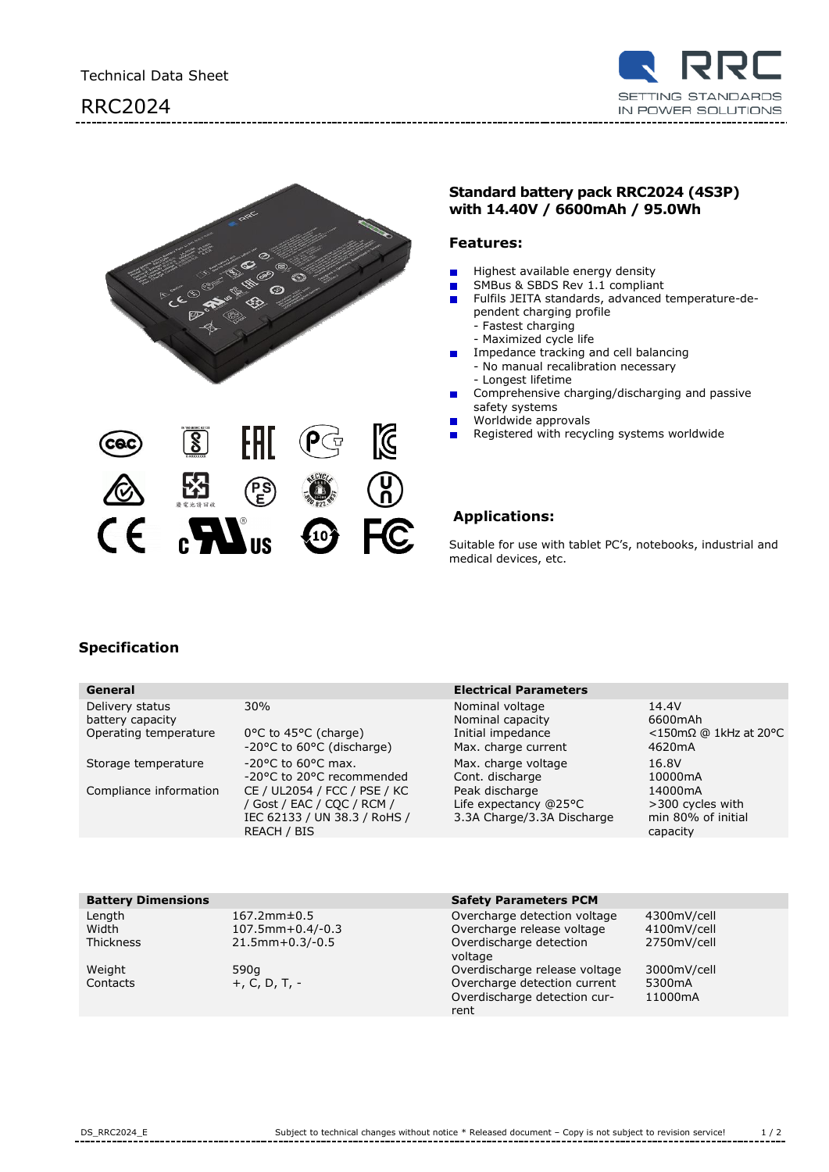





## **Standard battery pack RRC2024 (4S3P) with 14.40V / 6600mAh / 95.0Wh**

## **Features:**

- Highest available energy density  $\blacksquare$
- SMBus & SBDS Rev 1.1 compliant  $\blacksquare$
- Fulfils JEITA standards, advanced temperature-de- $\blacksquare$ pendent charging profile
	- Fastest charging
	- Maximized cycle life
- Impedance tracking and cell balancing  $\blacksquare$ 
	- No manual recalibration necessary
	- Longest lifetime
- Comprehensive charging/discharging and passive  $\blacksquare$ safety systems
- Worldwide approvals
- Registered with recycling systems worldwide

## **Applications:**

Suitable for use with tablet PC's, notebooks, industrial and medical devices, etc.

# **Specification**

| General                                                      |                                                                                    | <b>Electrical Parameters</b>                                                    |                                                                             |
|--------------------------------------------------------------|------------------------------------------------------------------------------------|---------------------------------------------------------------------------------|-----------------------------------------------------------------------------|
| Delivery status<br>battery capacity<br>Operating temperature | 30%<br>0°C to 45°C (charge)<br>-20°C to 60°C (discharge)                           | Nominal voltage<br>Nominal capacity<br>Initial impedance<br>Max. charge current | 14.4V<br>6600mAh<br>$<$ 150m $\Omega$ @ 1kHz at 20°C<br>4620 <sub>m</sub> A |
| Storage temperature<br>Compliance information                | $-20$ °C to 60°C max.<br>-20°C to 20°C recommended<br>CE / UL2054 / FCC / PSE / KC | Max. charge voltage<br>Cont. discharge<br>Peak discharge                        | 16.8V<br>10000mA<br>14000mA                                                 |
|                                                              | / Gost / EAC / CQC / RCM /<br>IEC 62133 / UN 38.3 / RoHS /<br>REACH / BIS          | Life expectancy $@25°C$<br>3.3A Charge/3.3A Discharge                           | >300 cycles with<br>min 80% of initial<br>capacity                          |
|                                                              |                                                                                    |                                                                                 |                                                                             |

| Lengtn<br>Width |  |
|-----------------|--|
| Thickness       |  |
| $M$ oiaht       |  |

## **Battery Dimensions Safety Parameters PCM**

| Length           | $167.2mm \pm 0.5$    | Overcharge detection voltage       | 4300mV/cell         |
|------------------|----------------------|------------------------------------|---------------------|
|                  |                      |                                    |                     |
| Width            | 107.5mm + $0.4/-0.3$ | Overcharge release voltage         | 4100mV/cell         |
| <b>Thickness</b> | $21.5mm+0.3/-0.5$    | Overdischarge detection<br>voltage | 2750mV/cell         |
| Weight           | 590a                 | Overdischarge release voltage      | 3000mV/cell         |
| Contacts         | $+$ , C, D, T, $-$   | Overcharge detection current       | 5300 <sub>m</sub> A |
|                  |                      | Overdischarge detection cur-       | 11000mA             |
|                  |                      | rent                               |                     |